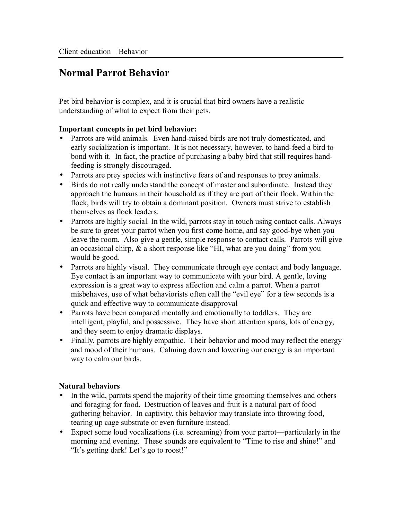## **Normal Parrot Behavior**

Pet bird behavior is complex, and it is crucial that bird owners have a realistic understanding of what to expect from their pets.

## **Important concepts in pet bird behavior:**

- Parrots are wild animals. Even hand-raised birds are not truly domesticated, and early socialization is important. It is not necessary, however, to hand-feed a bird to bond with it. In fact, the practice of purchasing a baby bird that still requires handfeeding is strongly discouraged.
- Parrots are prey species with instinctive fears of and responses to prey animals.
- Birds do not really understand the concept of master and subordinate. Instead they approach the humans in their household as if they are part of their flock. Within the flock, birds will try to obtain a dominant position. Owners must strive to establish themselves as flock leaders.
- Parrots are highly social. In the wild, parrots stay in touch using contact calls. Always be sure to greet your parrot when you first come home, and say good-bye when you leave the room. Also give a gentle, simple response to contact calls. Parrots will give an occasional chirp,  $\&$  a short response like "HI, what are you doing" from you would be good.
- Parrots are highly visual. They communicate through eye contact and body language. Eye contact is an important way to communicate with your bird. A gentle, loving expression is a great way to express affection and calm a parrot. When a parrot misbehaves, use of what behaviorists often call the "evil eye" for a few seconds is a quick and effective way to communicate disapproval
- Parrots have been compared mentally and emotionally to toddlers. They are intelligent, playful, and possessive. They have short attention spans, lots of energy, and they seem to enjoy dramatic displays.
- Finally, parrots are highly empathic. Their behavior and mood may reflect the energy and mood of their humans. Calming down and lowering our energy is an important way to calm our birds.

## **Natural behaviors**

- In the wild, parrots spend the majority of their time grooming themselves and others and foraging for food. Destruction of leaves and fruit is a natural part of food gathering behavior. In captivity, this behavior may translate into throwing food, tearing up cage substrate or even furniture instead.
- Expect some loud vocalizations (i.e. screaming) from your parrot—particularly in the morning and evening. These sounds are equivalent to "Time to rise and shine!" and "It's getting dark! Let's go to roost!"